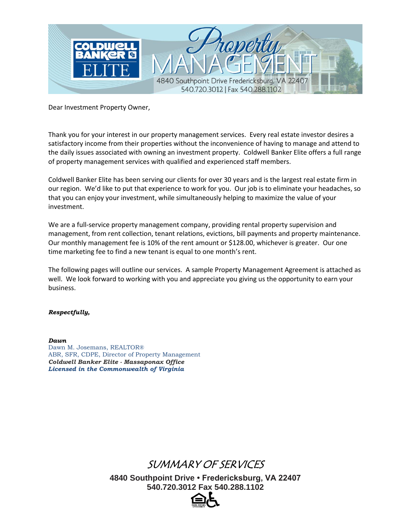

Dear Investment Property Owner,

Thank you for your interest in our property management services. Every real estate investor desires a satisfactory income from their properties without the inconvenience of having to manage and attend to the daily issues associated with owning an investment property. Coldwell Banker Elite offers a full range of property management services with qualified and experienced staff members.

Coldwell Banker Elite has been serving our clients for over 30 years and is the largest real estate firm in our region. We'd like to put that experience to work for you. Our job is to eliminate your headaches, so that you can enjoy your investment, while simultaneously helping to maximize the value of your investment.

We are a full-service property management company, providing rental property supervision and management, from rent collection, tenant relations, evictions, bill payments and property maintenance. Our monthly management fee is 10% of the rent amount or \$128.00, whichever is greater. Our one time marketing fee to find a new tenant is equal to one month's rent.

The following pages will outline our services. A sample Property Management Agreement is attached as well. We look forward to working with you and appreciate you giving us the opportunity to earn your business.

#### *Respectfully,*

*Dawn*  Dawn M. Josemans, REALTOR® ABR, SFR, CDPE, Director of Property Management *Coldwell Banker Elite - Massaponax Office Licensed in the Commonwealth of Virginia* 

# SUMMARY OF SERVICES

**4840 Southpoint Drive • Fredericksburg, VA 22407 540.720.3012 Fax 540.288.1102**